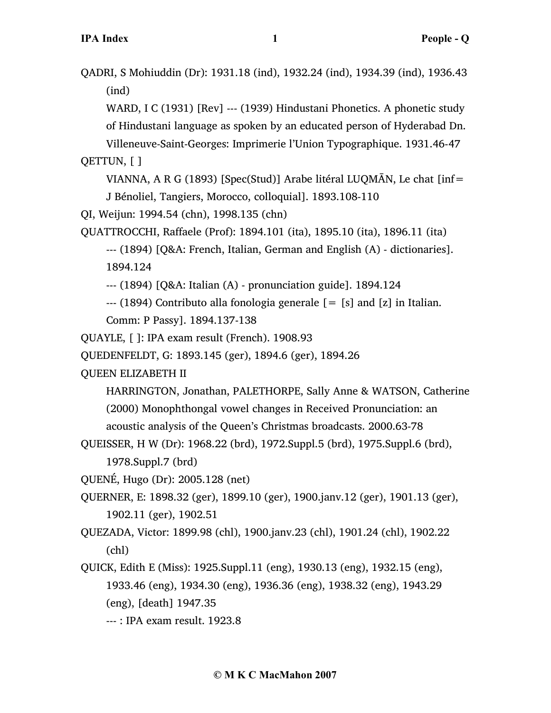QADRI, S Mohiuddin (Dr): 1931.18 (ind), 1932.24 (ind), 1934.39 (ind), 1936.43 (ind)

WARD, I C (1931) [Rev] --- (1939) Hindustani Phonetics. A phonetic study of Hindustani language as spoken by an educated person of Hyderabad Dn. Villeneuve-Saint-Georges: Imprimerie l'Union Typographique. 1931.46-47

QETTUN, [ ]

VIANNA, A R G (1893) [Spec(Stud)] Arabe litéral LUQMĀN, Le chat [inf=

J Bénoliel, Tangiers, Morocco, colloquial]. 1893.108-110

QI, Weijun: 1994.54 (chn), 1998.135 (chn)

QUATTROCCHI, Raffaele (Prof): 1894.101 (ita), 1895.10 (ita), 1896.11 (ita)

--- (1894) [Q&A: French, Italian, German and English (A) - dictionaries]. 1894.124

--- (1894) [Q&A: Italian (A) - pronunciation guide]. 1894.124

 $-$ -- (1894) Contributo alla fonologia generale  $[= [s]$  and  $[z]$  in Italian.

Comm: P Passy]. 1894.137-138

QUAYLE, [ ]: IPA exam result (French). 1908.93

QUEDENFELDT, G: 1893.145 (ger), 1894.6 (ger), 1894.26

QUEEN ELIZABETH II

HARRINGTON, Jonathan, PALETHORPE, Sally Anne & WATSON, Catherine (2000) Monophthongal vowel changes in Received Pronunciation: an acoustic analysis of the Queen's Christmas broadcasts. 2000.63-78

QUEISSER, H W (Dr): 1968.22 (brd), 1972.Suppl.5 (brd), 1975.Suppl.6 (brd),

1978.Suppl.7 (brd)

QUENÉ, Hugo (Dr): 2005.128 (net)

- QUERNER, E: 1898.32 (ger), 1899.10 (ger), 1900.janv.12 (ger), 1901.13 (ger), 1902.11 (ger), 1902.51
- QUEZADA, Victor: 1899.98 (chl), 1900.janv.23 (chl), 1901.24 (chl), 1902.22 (chl)

QUICK, Edith E (Miss): 1925.Suppl.11 (eng), 1930.13 (eng), 1932.15 (eng), 1933.46 (eng), 1934.30 (eng), 1936.36 (eng), 1938.32 (eng), 1943.29 (eng), [death] 1947.35

--- : IPA exam result. 1923.8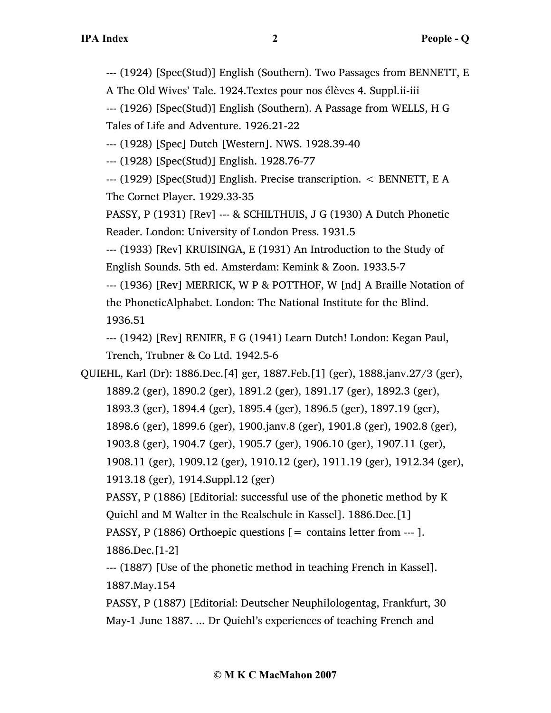--- (1924) [Spec(Stud)] English (Southern). Two Passages from BENNETT, E

A The Old Wives' Tale. 1924.Textes pour nos élèves 4. Suppl.ii-iii

--- (1926) [Spec(Stud)] English (Southern). A Passage from WELLS, H G Tales of Life and Adventure. 1926.21-22

--- (1928) [Spec] Dutch [Western]. NWS. 1928.39-40

--- (1928) [Spec(Stud)] English. 1928.76-77

--- (1929) [Spec(Stud)] English. Precise transcription. < BENNETT, E A The Cornet Player. 1929.33-35

PASSY, P (1931) [Rev] --- & SCHILTHUIS, J G (1930) A Dutch Phonetic Reader. London: University of London Press. 1931.5

--- (1933) [Rev] KRUISINGA, E (1931) An Introduction to the Study of English Sounds. 5th ed. Amsterdam: Kemink & Zoon. 1933.5-7

--- (1936) [Rev] MERRICK, W P & POTTHOF, W [nd] A Braille Notation of the PhoneticAlphabet. London: The National Institute for the Blind. 1936.51

--- (1942) [Rev] RENIER, F G (1941) Learn Dutch! London: Kegan Paul, Trench, Trubner & Co Ltd. 1942.5-6

QUIEHL, Karl (Dr): 1886.Dec.[4] ger, 1887.Feb.[1] (ger), 1888.janv.27/3 (ger), 1889.2 (ger), 1890.2 (ger), 1891.2 (ger), 1891.17 (ger), 1892.3 (ger), 1893.3 (ger), 1894.4 (ger), 1895.4 (ger), 1896.5 (ger), 1897.19 (ger), 1898.6 (ger), 1899.6 (ger), 1900.janv.8 (ger), 1901.8 (ger), 1902.8 (ger), 1903.8 (ger), 1904.7 (ger), 1905.7 (ger), 1906.10 (ger), 1907.11 (ger), 1908.11 (ger), 1909.12 (ger), 1910.12 (ger), 1911.19 (ger), 1912.34 (ger), 1913.18 (ger), 1914.Suppl.12 (ger) PASSY, P (1886) [Editorial: successful use of the phonetic method by K

Quiehl and M Walter in the Realschule in Kassel]. 1886.Dec.[1]

PASSY, P (1886) Orthoepic questions [= contains letter from --- ]. 1886.Dec.[1-2]

--- (1887) [Use of the phonetic method in teaching French in Kassel]. 1887.May.154

PASSY, P (1887) [Editorial: Deutscher Neuphilologentag, Frankfurt, 30 May-1 June 1887. ... Dr Quiehl's experiences of teaching French and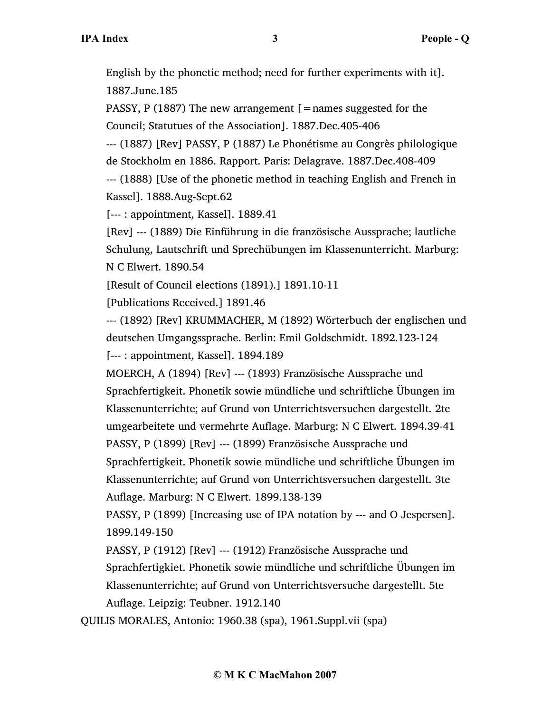English by the phonetic method; need for further experiments with it]. 1887.June.185

PASSY, P (1887) The new arrangement  $[$  = names suggested for the Council; Statutues of the Association]. 1887.Dec.405-406

--- (1887) [Rev] PASSY, P (1887) Le Phonétisme au Congrès philologique de Stockholm en 1886. Rapport. Paris: Delagrave. 1887.Dec.408-409

--- (1888) [Use of the phonetic method in teaching English and French in Kassel]. 1888.Aug-Sept.62

[--- : appointment, Kassel]. 1889.41

[Rev] --- (1889) Die Einführung in die französische Aussprache; lautliche Schulung, Lautschrift und Sprechübungen im Klassenunterricht. Marburg: N C Elwert. 1890.54

[Result of Council elections (1891).] 1891.10-11

[Publications Received.] 1891.46

--- (1892) [Rev] KRUMMACHER, M (1892) Wörterbuch der englischen und deutschen Umgangssprache. Berlin: Emil Goldschmidt. 1892.123-124 [--- : appointment, Kassel]. 1894.189

MOERCH, A (1894) [Rev] --- (1893) Französische Aussprache und Sprachfertigkeit. Phonetik sowie mündliche und schriftliche Übungen im Klassenunterrichte; auf Grund von Unterrichtsversuchen dargestellt. 2te umgearbeitete und vermehrte Auflage. Marburg: N C Elwert. 1894.39-41 PASSY, P (1899) [Rev] --- (1899) Französische Aussprache und Sprachfertigkeit. Phonetik sowie mündliche und schriftliche Übungen im Klassenunterrichte; auf Grund von Unterrichtsversuchen dargestellt. 3te Auflage. Marburg: N C Elwert. 1899.138-139

PASSY, P (1899) [Increasing use of IPA notation by --- and O Jespersen]. 1899.149-150

PASSY, P (1912) [Rev] --- (1912) Französische Aussprache und Sprachfertigkiet. Phonetik sowie mündliche und schriftliche Übungen im Klassenunterrichte; auf Grund von Unterrichtsversuche dargestellt. 5te Auflage. Leipzig: Teubner. 1912.140

QUILIS MORALES, Antonio: 1960.38 (spa), 1961.Suppl.vii (spa)